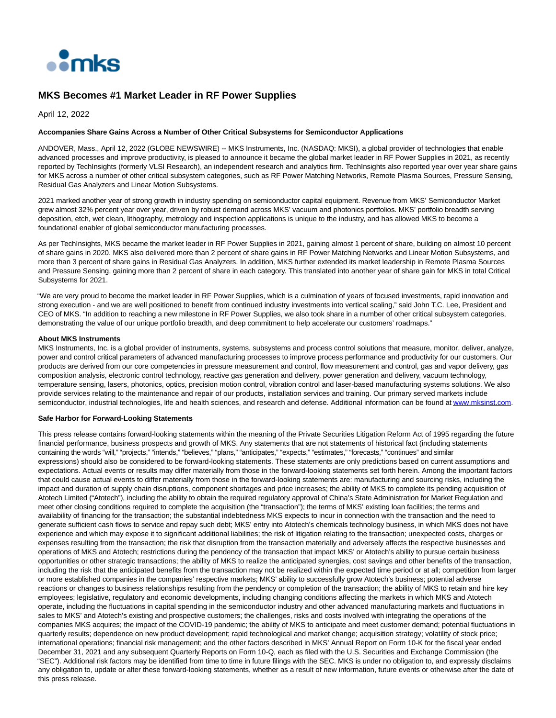

## **MKS Becomes #1 Market Leader in RF Power Supplies**

April 12, 2022

## **Accompanies Share Gains Across a Number of Other Critical Subsystems for Semiconductor Applications**

ANDOVER, Mass., April 12, 2022 (GLOBE NEWSWIRE) -- MKS Instruments, Inc. (NASDAQ: MKSI), a global provider of technologies that enable advanced processes and improve productivity, is pleased to announce it became the global market leader in RF Power Supplies in 2021, as recently reported by TechInsights (formerly VLSI Research), an independent research and analytics firm. TechInsights also reported year over year share gains for MKS across a number of other critical subsystem categories, such as RF Power Matching Networks, Remote Plasma Sources, Pressure Sensing, Residual Gas Analyzers and Linear Motion Subsystems.

2021 marked another year of strong growth in industry spending on semiconductor capital equipment. Revenue from MKS' Semiconductor Market grew almost 32% percent year over year, driven by robust demand across MKS' vacuum and photonics portfolios. MKS' portfolio breadth serving deposition, etch, wet clean, lithography, metrology and inspection applications is unique to the industry, and has allowed MKS to become a foundational enabler of global semiconductor manufacturing processes.

As per TechInsights, MKS became the market leader in RF Power Supplies in 2021, gaining almost 1 percent of share, building on almost 10 percent of share gains in 2020. MKS also delivered more than 2 percent of share gains in RF Power Matching Networks and Linear Motion Subsystems, and more than 3 percent of share gains in Residual Gas Analyzers. In addition, MKS further extended its market leadership in Remote Plasma Sources and Pressure Sensing, gaining more than 2 percent of share in each category. This translated into another year of share gain for MKS in total Critical Subsystems for 2021.

"We are very proud to become the market leader in RF Power Supplies, which is a culmination of years of focused investments, rapid innovation and strong execution - and we are well positioned to benefit from continued industry investments into vertical scaling," said John T.C. Lee, President and CEO of MKS. "In addition to reaching a new milestone in RF Power Supplies, we also took share in a number of other critical subsystem categories, demonstrating the value of our unique portfolio breadth, and deep commitment to help accelerate our customers' roadmaps."

## **About MKS Instruments**

MKS Instruments, Inc. is a global provider of instruments, systems, subsystems and process control solutions that measure, monitor, deliver, analyze, power and control critical parameters of advanced manufacturing processes to improve process performance and productivity for our customers. Our products are derived from our core competencies in pressure measurement and control, flow measurement and control, gas and vapor delivery, gas composition analysis, electronic control technology, reactive gas generation and delivery, power generation and delivery, vacuum technology, temperature sensing, lasers, photonics, optics, precision motion control, vibration control and laser-based manufacturing systems solutions. We also provide services relating to the maintenance and repair of our products, installation services and training. Our primary served markets include semiconductor, industrial technologies, life and health sciences, and research and defense. Additional information can be found a[t www.mksinst.com.](https://www.globenewswire.com/Tracker?data=AmuhLhBjRsfNqYQaclRqkuIRYsiHHm2LS6klWICWTXSLooS-chTK-i5ANxBgzwvzaD-kGvY9-EJqQjDxuAd1vg==)

## **Safe Harbor for Forward-Looking Statements**

This press release contains forward-looking statements within the meaning of the Private Securities Litigation Reform Act of 1995 regarding the future financial performance, business prospects and growth of MKS. Any statements that are not statements of historical fact (including statements containing the words "will," "projects," "intends," "believes," "plans," "anticipates," "expects," "estimates," "forecasts," "continues" and similar expressions) should also be considered to be forward-looking statements. These statements are only predictions based on current assumptions and expectations. Actual events or results may differ materially from those in the forward-looking statements set forth herein. Among the important factors that could cause actual events to differ materially from those in the forward-looking statements are: manufacturing and sourcing risks, including the impact and duration of supply chain disruptions, component shortages and price increases; the ability of MKS to complete its pending acquisition of Atotech Limited ("Atotech"), including the ability to obtain the required regulatory approval of China's State Administration for Market Regulation and meet other closing conditions required to complete the acquisition (the "transaction"); the terms of MKS' existing loan facilities; the terms and availability of financing for the transaction; the substantial indebtedness MKS expects to incur in connection with the transaction and the need to generate sufficient cash flows to service and repay such debt; MKS' entry into Atotech's chemicals technology business, in which MKS does not have experience and which may expose it to significant additional liabilities; the risk of litigation relating to the transaction; unexpected costs, charges or expenses resulting from the transaction; the risk that disruption from the transaction materially and adversely affects the respective businesses and operations of MKS and Atotech; restrictions during the pendency of the transaction that impact MKS' or Atotech's ability to pursue certain business opportunities or other strategic transactions; the ability of MKS to realize the anticipated synergies, cost savings and other benefits of the transaction, including the risk that the anticipated benefits from the transaction may not be realized within the expected time period or at all; competition from larger or more established companies in the companies' respective markets; MKS' ability to successfully grow Atotech's business; potential adverse reactions or changes to business relationships resulting from the pendency or completion of the transaction; the ability of MKS to retain and hire key employees; legislative, regulatory and economic developments, including changing conditions affecting the markets in which MKS and Atotech operate, including the fluctuations in capital spending in the semiconductor industry and other advanced manufacturing markets and fluctuations in sales to MKS' and Atotech's existing and prospective customers; the challenges, risks and costs involved with integrating the operations of the companies MKS acquires; the impact of the COVID-19 pandemic; the ability of MKS to anticipate and meet customer demand; potential fluctuations in quarterly results; dependence on new product development; rapid technological and market change; acquisition strategy; volatility of stock price; international operations; financial risk management; and the other factors described in MKS' Annual Report on Form 10-K for the fiscal year ended December 31, 2021 and any subsequent Quarterly Reports on Form 10-Q, each as filed with the U.S. Securities and Exchange Commission (the "SEC"). Additional risk factors may be identified from time to time in future filings with the SEC. MKS is under no obligation to, and expressly disclaims any obligation to, update or alter these forward-looking statements, whether as a result of new information, future events or otherwise after the date of this press release.